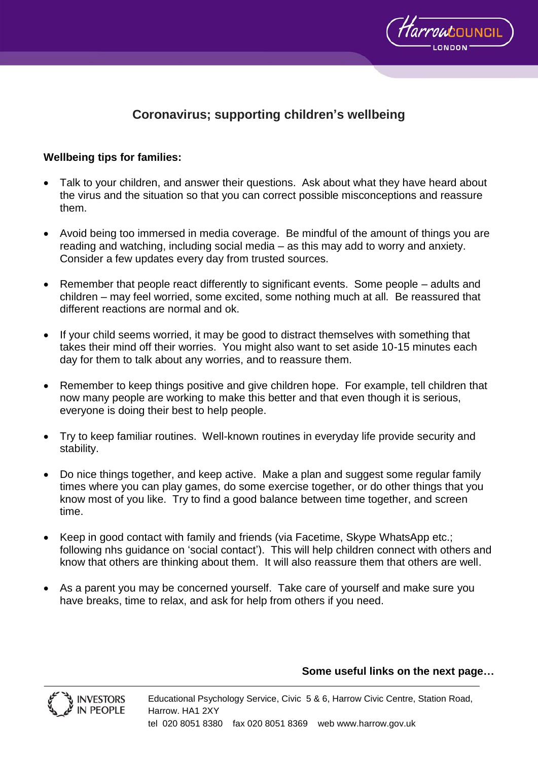

# **Coronavirus; supporting children's wellbeing**

#### **Wellbeing tips for families:**

- Talk to your children, and answer their questions. Ask about what they have heard about the virus and the situation so that you can correct possible misconceptions and reassure them.
- Avoid being too immersed in media coverage. Be mindful of the amount of things you are reading and watching, including social media – as this may add to worry and anxiety. Consider a few updates every day from trusted sources.
- Remember that people react differently to significant events. Some people adults and children – may feel worried, some excited, some nothing much at all. Be reassured that different reactions are normal and ok.
- If your child seems worried, it may be good to distract themselves with something that takes their mind off their worries. You might also want to set aside 10-15 minutes each day for them to talk about any worries, and to reassure them.
- Remember to keep things positive and give children hope. For example, tell children that now many people are working to make this better and that even though it is serious, everyone is doing their best to help people.
- Try to keep familiar routines. Well-known routines in everyday life provide security and stability.
- Do nice things together, and keep active. Make a plan and suggest some regular family times where you can play games, do some exercise together, or do other things that you know most of you like. Try to find a good balance between time together, and screen time.
- Keep in good contact with family and friends (via Facetime, Skype WhatsApp etc.; following nhs guidance on 'social contact'). This will help children connect with others and know that others are thinking about them. It will also reassure them that others are well.
- As a parent you may be concerned yourself. Take care of yourself and make sure you have breaks, time to relax, and ask for help from others if you need.

#### **Some useful links on the next page…**



Educational Psychology Service, Civic 5 & 6, Harrow Civic Centre, Station Road, Harrow. HA1 2XY tel 020 8051 8380 fax 020 8051 8369 web www.harrow.gov.uk